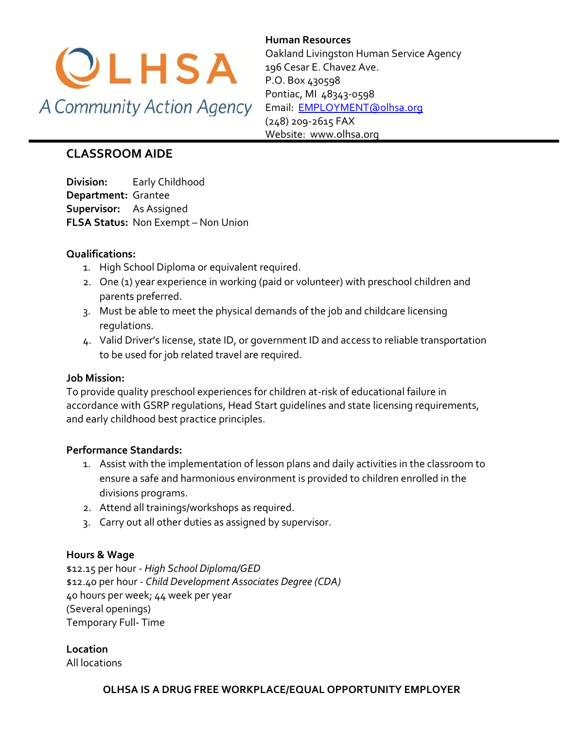

**Human Resources**  Oakland Livingston Human Service Agency 196 Cesar E. Chavez Ave. P.O. Box 430598 Pontiac, MI 48343-0598 [Email: EMPLOYMENT@olhsa.org](mailto:JamilaT@olhsa.org) (248) 209-2615 FAX Website: www.olhsa.org

# **CLASSROOM AIDE**

**Division:** Early Childhood **Department:** Grantee **Supervisor:** As Assigned **FLSA Status:** Non Exempt – Non Union

# **Qualifications:**

- 1. High School Diploma or equivalent required.
- 2. One (1) year experience in working (paid or volunteer) with preschool children and parents preferred.
- 3. Must be able to meet the physical demands of the job and childcare licensing regulations.
- 4. Valid Driver's license, state ID, or government ID and access to reliable transportation to be used for job related travel are required.

#### **Job Mission:**

To provide quality preschool experiences for children at-risk of educational failure in accordance with GSRP regulations, Head Start guidelines and state licensing requirements, and early childhood best practice principles.

#### **Performance Standards:**

- 1. Assist with the implementation of lesson plans and daily activities in the classroom to ensure a safe and harmonious environment is provided to children enrolled in the divisions programs.
- 2. Attend all trainings/workshops as required.
- 3. Carry out all other duties as assigned by supervisor.

# **Hours & Wage**

\$12.15 per hour - *High School Diploma/GED* \$12.40 per hour - *Child Development Associates Degree (CDA)* 40 hours per week; 44 week per year (Several openings) Temporary Full- Time

**Location**

All locations